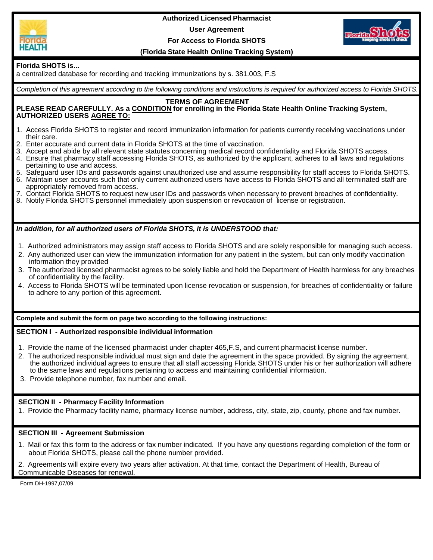

**Authorized Licensed Pharmacist User Agreement For Access to Florida SHOTS**



## **(Florida State Health Online Tracking System)**

# **Florida SHOTS is...**

a centralized database for recording and tracking immunizations by s. 381.003, F.S

*Completion of this agreement according to the following conditions and instructions is required for authorized access to Florida SHOTS.*

#### **TERMS OF AGREEMENT**

#### **PLEASE READ CAREFULLY. As a CONDITION for enrolling in the Florida State Health Online Tracking System, AUTHORIZED USERS AGREE TO:**

- 1. Access Florida SHOTS to register and record immunization information for patients currently receiving vaccinations under their care.
- 2. Enter accurate and current data in Florida SHOTS at the time of vaccination.
- 3. Accept and abide by all relevant state statutes concerning medical record confidentiality and Florida SHOTS access.
- 4. Ensure that pharmacy staff accessing Florida SHOTS, as authorized by the applicant, adheres to all laws and regulations pertaining to use and access.
- 5. Safeguard user IDs and passwords against unauthorized use and assume responsibility for staff access to Florida SHOTS.
- 6. Maintain user accounts such that only current authorized users have access to Florida SHOTS and all terminated staff are appropriately removed from access.
- 7. Contact Florida SHOTS to request new user IDs and passwords when necessary to prevent breaches of confidentiality.
- 8. Notify Florida SHOTS personnel immediately upon suspension or revocation of license or registration.

## *In addition, for all authorized users of Florida SHOTS, it is UNDERSTOOD that:*

- 1. Authorized administrators may assign staff access to Florida SHOTS and are solely responsible for managing such access.
- 2. Any authorized user can view the immunization information for any patient in the system, but can only modify vaccination information they provided
- 3. The authorized licensed pharmacist agrees to be solely liable and hold the Department of Health harmless for any breaches of confidentiality by the facility.
- 4. Access to Florida SHOTS will be terminated upon license revocation or suspension, for breaches of confidentiality or failure to adhere to any portion of this agreement.

**Complete and submit the form on page two according to the following instructions:**

### **SECTION I - Authorized responsible individual information**

- 1. Provide the name of the licensed pharmacist under chapter 465,F.S, and current pharmacist license number.
- 2. The authorized responsible individual must sign and date the agreement in the space provided. By signing the agreement, the authorized individual agrees to ensure that all staff accessing Florida SHOTS under his or her authorization will adhere to the same laws and regulations pertaining to access and maintaining confidential information.
- 3. Provide telephone number, fax number and email.

## **SECTION II - Pharmacy Facility Information**

1. Provide the Pharmacy facility name, pharmacy license number, address, city, state, zip, county, phone and fax number.

### **SECTION III - Agreement Submission**

- 1. Mail or fax this form to the address or fax number indicated. If you have any questions regarding completion of the form or about Florida SHOTS, please call the phone number provided.
- 2. Agreements will expire every two years after activation. At that time, contact the Department of Health, Bureau of Communicable Diseases for renewal.

Form DH-1997,07/09